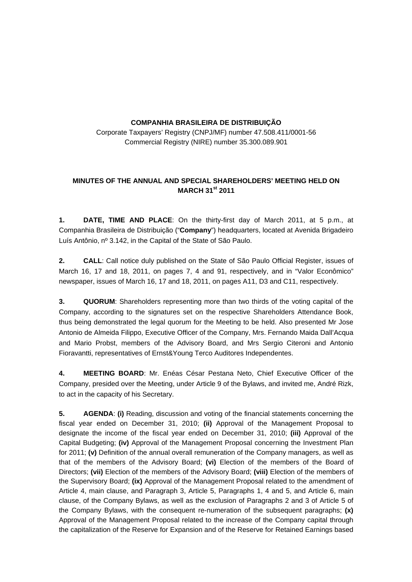## **COMPANHIA BRASILEIRA DE DISTRIBUIÇÃO**

Corporate Taxpayers' Registry (CNPJ/MF) number 47.508.411/0001-56 Commercial Registry (NIRE) number 35.300.089.901

## **MINUTES OF THE ANNUAL AND SPECIAL SHAREHOLDERS' MEETING HELD ON MARCH 31st 2011**

**1. DATE, TIME AND PLACE**: On the thirty-first day of March 2011, at 5 p.m., at Companhia Brasileira de Distribuição ("**Company**") headquarters, located at Avenida Brigadeiro Luís Antônio, nº 3.142, in the Capital of the State of São Paulo.

**2. CALL**: Call notice duly published on the State of São Paulo Official Register, issues of March 16, 17 and 18, 2011, on pages 7, 4 and 91, respectively, and in "Valor Econômico" newspaper, issues of March 16, 17 and 18, 2011, on pages A11, D3 and C11, respectively.

**3. QUORUM**: Shareholders representing more than two thirds of the voting capital of the Company, according to the signatures set on the respective Shareholders Attendance Book, thus being demonstrated the legal quorum for the Meeting to be held. Also presented Mr Jose Antonio de Almeida Filippo, Executive Officer of the Company, Mrs. Fernando Maida Dall'Acqua and Mario Probst, members of the Advisory Board, and Mrs Sergio Citeroni and Antonio Fioravantti, representatives of Ernst&Young Terco Auditores Independentes.

**4. MEETING BOARD**: Mr. Enéas César Pestana Neto, Chief Executive Officer of the Company, presided over the Meeting, under Article 9 of the Bylaws, and invited me, André Rizk, to act in the capacity of his Secretary.

**5. AGENDA**: **(i)** Reading, discussion and voting of the financial statements concerning the fiscal year ended on December 31, 2010; **(ii)** Approval of the Management Proposal to designate the income of the fiscal year ended on December 31, 2010; **(iii)** Approval of the Capital Budgeting; **(iv)** Approval of the Management Proposal concerning the Investment Plan for 2011; **(v)** Definition of the annual overall remuneration of the Company managers, as well as that of the members of the Advisory Board; **(vi)** Election of the members of the Board of Directors; **(vii)** Election of the members of the Advisory Board; **(viii)** Election of the members of the Supervisory Board; **(ix)** Approval of the Management Proposal related to the amendment of Article 4, main clause, and Paragraph 3, Article 5, Paragraphs 1, 4 and 5, and Article 6, main clause, of the Company Bylaws, as well as the exclusion of Paragraphs 2 and 3 of Article 5 of the Company Bylaws, with the consequent re-numeration of the subsequent paragraphs; **(x)**  Approval of the Management Proposal related to the increase of the Company capital through the capitalization of the Reserve for Expansion and of the Reserve for Retained Earnings based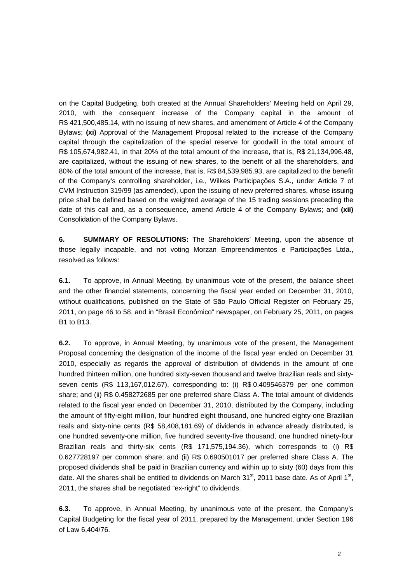on the Capital Budgeting, both created at the Annual Shareholders' Meeting held on April 29, 2010, with the consequent increase of the Company capital in the amount of R\$ 421,500,485.14, with no issuing of new shares, and amendment of Article 4 of the Company Bylaws; **(xi)** Approval of the Management Proposal related to the increase of the Company capital through the capitalization of the special reserve for goodwill in the total amount of R\$ 105,674,982.41, in that 20% of the total amount of the increase, that is, R\$ 21,134,996.48, are capitalized, without the issuing of new shares, to the benefit of all the shareholders, and 80% of the total amount of the increase, that is, R\$ 84,539,985.93, are capitalized to the benefit of the Company's controlling shareholder, i.e., Wilkes Participações S.A., under Article 7 of CVM Instruction 319/99 (as amended), upon the issuing of new preferred shares, whose issuing price shall be defined based on the weighted average of the 15 trading sessions preceding the date of this call and, as a consequence, amend Article 4 of the Company Bylaws; and **(xii)**  Consolidation of the Company Bylaws.

**6. SUMMARY OF RESOLUTIONS:** The Shareholders' Meeting, upon the absence of those legally incapable, and not voting Morzan Empreendimentos e Participações Ltda., resolved as follows:

**6.1.** To approve, in Annual Meeting, by unanimous vote of the present, the balance sheet and the other financial statements, concerning the fiscal year ended on December 31, 2010, without qualifications, published on the State of São Paulo Official Register on February 25, 2011, on page 46 to 58, and in "Brasil Econômico" newspaper, on February 25, 2011, on pages B1 to B13.

**6.2.** To approve, in Annual Meeting, by unanimous vote of the present, the Management Proposal concerning the designation of the income of the fiscal year ended on December 31 2010, especially as regards the approval of distribution of dividends in the amount of one hundred thirteen million, one hundred sixty-seven thousand and twelve Brazilian reals and sixtyseven cents (R\$ 113,167,012.67), corresponding to: (i) R\$ 0.409546379 per one common share; and (ii) R\$ 0.458272685 per one preferred share Class A. The total amount of dividends related to the fiscal year ended on December 31, 2010, distributed by the Company, including the amount of fifty-eight million, four hundred eight thousand, one hundred eighty-one Brazilian reals and sixty-nine cents (R\$ 58,408,181.69) of dividends in advance already distributed, is one hundred seventy-one million, five hundred seventy-five thousand, one hundred ninety-four Brazilian reals and thirty-six cents (R\$ 171,575,194.36), which corresponds to (i) R\$ 0.627728197 per common share; and (ii) R\$ 0.690501017 per preferred share Class A. The proposed dividends shall be paid in Brazilian currency and within up to sixty (60) days from this date. All the shares shall be entitled to dividends on March  $31<sup>st</sup>$ , 2011 base date. As of April 1<sup>st</sup>, 2011, the shares shall be negotiated "ex-right" to dividends.

**6.3.** To approve, in Annual Meeting, by unanimous vote of the present, the Company's Capital Budgeting for the fiscal year of 2011, prepared by the Management, under Section 196 of Law 6,404/76.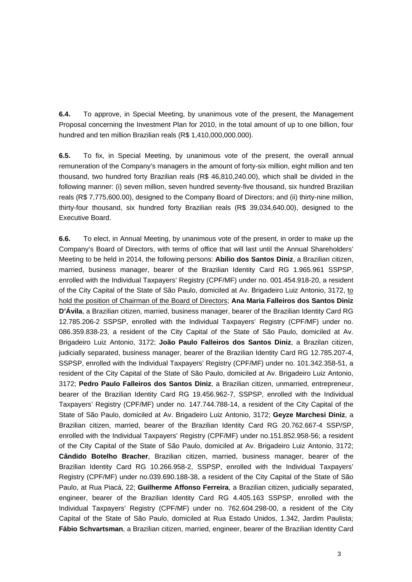**6.4.** To approve, in Special Meeting, by unanimous vote of the present, the Management Proposal concerning the Investment Plan for 2010, in the total amount of up to one billion, four hundred and ten million Brazilian reals (R\$ 1,410,000,000.000).

**6.5.** To fix, in Special Meeting, by unanimous vote of the present, the overall annual remuneration of the Company's managers in the amount of forty-six million, eight million and ten thousand, two hundred forty Brazilian reals (R\$ 46,810,240.00), which shall be divided in the following manner: (i) seven million, seven hundred seventy-five thousand, six hundred Brazilian reals (R\$ 7,775,600.00), designed to the Company Board of Directors; and (ii) thirty-nine million, thirty-four thousand, six hundred forty Brazilian reals (R\$ 39,034,640.00), designed to the Executive Board.

**6.6.** To elect, in Annual Meeting, by unanimous vote of the present, in order to make up the Company's Board of Directors, with terms of office that will last until the Annual Shareholders' Meeting to be held in 2014, the following persons: **Abilio dos Santos Diniz**, a Brazilian citizen, married, business manager, bearer of the Brazilian Identity Card RG 1.965.961 SSPSP, enrolled with the Individual Taxpayers' Registry (CPF/MF) under no. 001.454.918-20, a resident of the City Capital of the State of São Paulo, domiciled at Av. Brigadeiro Luiz Antonio, 3172, to hold the position of Chairman of the Board of Directors; **Ana Maria Falleiros dos Santos Diniz D'Ávila**, a Brazilian citizen, married, business manager, bearer of the Brazilian Identity Card RG 12.785.206-2 SSPSP, enrolled with the Individual Taxpayers' Registry (CPF/MF) under no. 086.359.838-23, a resident of the City Capital of the State of São Paulo, domiciled at Av. Brigadeiro Luiz Antonio, 3172; **João Paulo Falleiros dos Santos Diniz**, a Brazilan citizen, judicially separated, business manager, bearer of the Brazilian Identity Card RG 12.785.207-4, SSPSP, enrolled with the Individual Taxpayers' Registry (CPF/MF) under no. 101.342.358-51, a resident of the City Capital of the State of São Paulo, domiciled at Av. Brigadeiro Luiz Antonio, 3172; **Pedro Paulo Falleiros dos Santos Diniz**, a Brazilian citizen, unmarried, entrepreneur, bearer of the Brazilian Identity Card RG 19.456.962-7, SSPSP, enrolled with the Individual Taxpayers' Registry (CPF/MF) under no. 147.744.788-14, a resident of the City Capital of the State of São Paulo, domiciled at Av. Brigadeiro Luiz Antonio, 3172; **Geyze Marchesi Diniz**, a Brazilian citizen, married, bearer of the Brazilian Identity Card RG 20.762.667-4 SSP/SP, enrolled with the Individual Taxpayers' Registry (CPF/MF) under no.151.852.958-56; a resident of the City Capital of the State of São Paulo, domiciled at Av. Brigadeiro Luiz Antonio, 3172; **Cândido Botelho Bracher**, Brazilian citizen, married, business manager, bearer of the Brazilian Identity Card RG 10.266.958-2, SSPSP, enrolled with the Individual Taxpayers' Registry (CPF/MF) under no.039.690.188-38, a resident of the City Capital of the State of São Paulo, at Rua Piacá, 22; **Guilherme Affonso Ferreira**, a Brazilian citizen, judicially separated, engineer, bearer of the Brazilian Identity Card RG 4.405.163 SSPSP, enrolled with the Individual Taxpayers' Registry (CPF/MF) under no. 762.604.298-00, a resident of the City Capital of the State of São Paulo, domiciled at Rua Estado Unidos, 1.342, Jardim Paulista; **Fábio Schvartsman**, a Brazilian citizen, married, engineer, bearer of the Brazilian Identity Card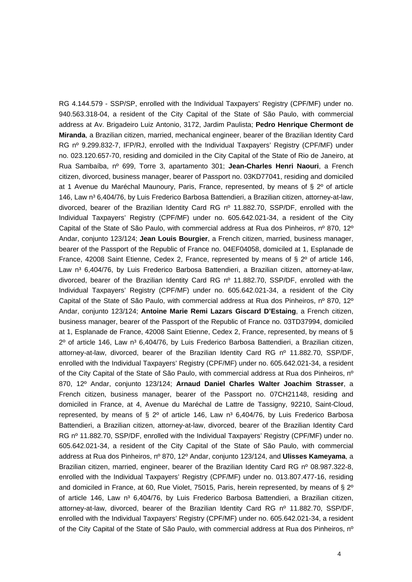RG 4.144.579 - SSP/SP, enrolled with the Individual Taxpayers' Registry (CPF/MF) under no. 940.563.318-04, a resident of the City Capital of the State of São Paulo, with commercial address at Av. Brigadeiro Luiz Antonio, 3172, Jardim Paulista; **Pedro Henrique Chermont de Miranda**, a Brazilian citizen, married, mechanical engineer, bearer of the Brazilian Identity Card RG nº 9.299.832-7, IFP/RJ, enrolled with the Individual Taxpayers' Registry (CPF/MF) under no. 023.120.657-70, residing and domiciled in the City Capital of the State of Rio de Janeiro, at Rua Sambaíba, nº 699, Torre 3, apartamento 301; **Jean-Charles Henri Naouri**, a French citizen, divorced, business manager, bearer of Passport no. 03KD77041, residing and domiciled at 1 Avenue du Maréchal Maunoury, Paris, France, represented, by means of § 2º of article 146, Law n<sup>3</sup> 6,404/76, by Luis Frederico Barbosa Battendieri, a Brazilian citizen, attorney-at-law, divorced, bearer of the Brazilian Identity Card RG nº 11.882.70, SSP/DF, enrolled with the Individual Taxpayers' Registry (CPF/MF) under no. 605.642.021-34, a resident of the City Capital of the State of São Paulo, with commercial address at Rua dos Pinheiros, nº 870, 12º Andar, conjunto 123/124; **Jean Louis Bourgier**, a French citizen, married, business manager, bearer of the Passport of the Republic of France no. 04EF04058, domiciled at 1, Esplanade de France, 42008 Saint Etienne, Cedex 2, France, represented by means of § 2º of article 146, Law n<sup>3</sup> 6,404/76, by Luis Frederico Barbosa Battendieri, a Brazilian citizen, attorney-at-law, divorced, bearer of the Brazilian Identity Card RG nº 11.882.70, SSP/DF, enrolled with the Individual Taxpayers' Registry (CPF/MF) under no. 605.642.021-34, a resident of the City Capital of the State of São Paulo, with commercial address at Rua dos Pinheiros, nº 870, 12º Andar, conjunto 123/124; **Antoine Marie Remi Lazars Giscard D'Estaing**, a French citizen, business manager, bearer of the Passport of the Republic of France no. 03TD37994, domiciled at 1, Esplanade de France, 42008 Saint Etienne, Cedex 2, France, represented, by means of §  $2^{\circ}$  of article 146, Law n<sup>3</sup> 6,404/76, by Luis Frederico Barbosa Battendieri, a Brazilian citizen, attorney-at-law, divorced, bearer of the Brazilian Identity Card RG nº 11.882.70, SSP/DF, enrolled with the Individual Taxpayers' Registry (CPF/MF) under no. 605.642.021-34, a resident of the City Capital of the State of São Paulo, with commercial address at Rua dos Pinheiros, nº 870, 12º Andar, conjunto 123/124; **Arnaud Daniel Charles Walter Joachim Strasser**, a French citizen, business manager, bearer of the Passport no. 07CH21148, residing and domiciled in France, at 4, Avenue du Maréchal de Lattre de Tassigny, 92210, Saint-Cloud, represented, by means of  $\S$  2° of article 146, Law  $n^3$  6,404/76, by Luis Frederico Barbosa Battendieri, a Brazilian citizen, attorney-at-law, divorced, bearer of the Brazilian Identity Card RG nº 11.882.70, SSP/DF, enrolled with the Individual Taxpayers' Registry (CPF/MF) under no. 605.642.021-34, a resident of the City Capital of the State of São Paulo, with commercial address at Rua dos Pinheiros, nº 870, 12º Andar, conjunto 123/124, and **Ulisses Kameyama**, a Brazilian citizen, married, engineer, bearer of the Brazilian Identity Card RG nº 08.987.322-8. enrolled with the Individual Taxpayers' Registry (CPF/MF) under no. 013.807.477-16, residing and domiciled in France, at 60, Rue Violet, 75015, Paris, herein represented, by means of § 2º of article 146, Law n<sup>3</sup> 6,404/76, by Luis Frederico Barbosa Battendieri, a Brazilian citizen, attorney-at-law, divorced, bearer of the Brazilian Identity Card RG nº 11.882.70, SSP/DF, enrolled with the Individual Taxpayers' Registry (CPF/MF) under no. 605.642.021-34, a resident of the City Capital of the State of São Paulo, with commercial address at Rua dos Pinheiros, nº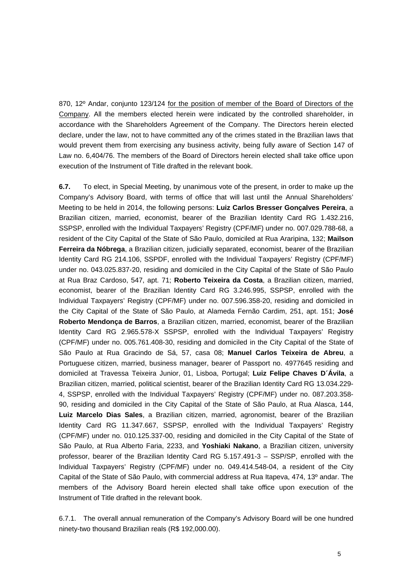870, 12º Andar, conjunto 123/124 for the position of member of the Board of Directors of the Company. All the members elected herein were indicated by the controlled shareholder, in accordance with the Shareholders Agreement of the Company. The Directors herein elected declare, under the law, not to have committed any of the crimes stated in the Brazilian laws that would prevent them from exercising any business activity, being fully aware of Section 147 of Law no. 6,404/76. The members of the Board of Directors herein elected shall take office upon execution of the Instrument of Title drafted in the relevant book.

**6.7.** To elect, in Special Meeting, by unanimous vote of the present, in order to make up the Company's Advisory Board, with terms of office that will last until the Annual Shareholders' Meeting to be held in 2014, the following persons: **Luiz Carlos Bresser Gonçalves Pereira**, a Brazilian citizen, married, economist, bearer of the Brazilian Identity Card RG 1.432.216, SSPSP, enrolled with the Individual Taxpayers' Registry (CPF/MF) under no. 007.029.788-68, a resident of the City Capital of the State of São Paulo, domiciled at Rua Araripina, 132; **Mailson Ferreira da Nóbrega**, a Brazilian citizen, judicially separated, economist, bearer of the Brazilian Identity Card RG 214.106, SSPDF, enrolled with the Individual Taxpayers' Registry (CPF/MF) under no. 043.025.837-20, residing and domiciled in the City Capital of the State of São Paulo at Rua Braz Cardoso, 547, apt. 71; **Roberto Teixeira da Costa**, a Brazilian citizen, married, economist, bearer of the Brazilian Identity Card RG 3.246.995, SSPSP, enrolled with the Individual Taxpayers' Registry (CPF/MF) under no. 007.596.358-20, residing and domiciled in the City Capital of the State of São Paulo, at Alameda Fernão Cardim, 251, apt. 151; **José Roberto Mendonça de Barros**, a Brazilian citizen, married, economist, bearer of the Brazilian Identity Card RG 2.965.578-X SSPSP, enrolled with the Individual Taxpayers' Registry (CPF/MF) under no. 005.761.408-30, residing and domiciled in the City Capital of the State of São Paulo at Rua Gracindo de Sá, 57, casa 08; **Manuel Carlos Teixeira de Abreu**, a Portuguese citizen, married, business manager, bearer of Passport no. 4977645 residing and domiciled at Travessa Teixeira Junior, 01, Lisboa, Portugal; **Luiz Felipe Chaves D´Ávila**, a Brazilian citizen, married, political scientist, bearer of the Brazilian Identity Card RG 13.034.229- 4, SSPSP, enrolled with the Individual Taxpayers' Registry (CPF/MF) under no. 087.203.358- 90, residing and domiciled in the City Capital of the State of São Paulo, at Rua Alasca, 144, **Luiz Marcelo Dias Sales**, a Brazilian citizen, married, agronomist, bearer of the Brazilian Identity Card RG 11.347.667, SSPSP, enrolled with the Individual Taxpayers' Registry (CPF/MF) under no. 010.125.337-00, residing and domiciled in the City Capital of the State of São Paulo, at Rua Alberto Faria, 2233, and **Yoshiaki Nakano**, a Brazilian citizen, university professor, bearer of the Brazilian Identity Card RG 5.157.491-3 – SSP/SP, enrolled with the Individual Taxpayers' Registry (CPF/MF) under no. 049.414.548-04, a resident of the City Capital of the State of São Paulo, with commercial address at Rua Itapeva, 474, 13º andar. The members of the Advisory Board herein elected shall take office upon execution of the Instrument of Title drafted in the relevant book.

6.7.1. The overall annual remuneration of the Company's Advisory Board will be one hundred ninety-two thousand Brazilian reals (R\$ 192,000.00).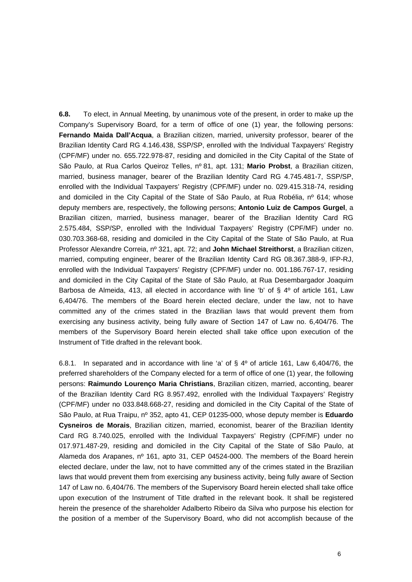**6.8.** To elect, in Annual Meeting, by unanimous vote of the present, in order to make up the Company's Supervisory Board, for a term of office of one (1) year, the following persons: **Fernando Maida Dall'Acqua**, a Brazilian citizen, married, university professor, bearer of the Brazilian Identity Card RG 4.146.438, SSP/SP, enrolled with the Individual Taxpayers' Registry (CPF/MF) under no. 655.722.978-87, residing and domiciled in the City Capital of the State of São Paulo, at Rua Carlos Queiroz Telles, nº 81, apt. 131; **Mario Probst**, a Brazilian citizen, married, business manager, bearer of the Brazilian Identity Card RG 4.745.481-7, SSP/SP, enrolled with the Individual Taxpayers' Registry (CPF/MF) under no. 029.415.318-74, residing and domiciled in the City Capital of the State of São Paulo, at Rua Robélia, nº 614; whose deputy members are, respectively, the following persons; **Antonio Luiz de Campos Gurgel**, a Brazilian citizen, married, business manager, bearer of the Brazilian Identity Card RG 2.575.484, SSP/SP, enrolled with the Individual Taxpayers' Registry (CPF/MF) under no. 030.703.368-68, residing and domiciled in the City Capital of the State of São Paulo, at Rua Professor Alexandre Correia, nº 321, apt. 72; and **John Michael Streithorst**, a Brazilian citizen, married, computing engineer, bearer of the Brazilian Identity Card RG 08.367.388-9, IFP-RJ, enrolled with the Individual Taxpayers' Registry (CPF/MF) under no. 001.186.767-17, residing and domiciled in the City Capital of the State of São Paulo, at Rua Desembargador Joaquim Barbosa de Almeida, 413, all elected in accordance with line 'b' of § 4º of article 161, Law 6,404/76. The members of the Board herein elected declare, under the law, not to have committed any of the crimes stated in the Brazilian laws that would prevent them from exercising any business activity, being fully aware of Section 147 of Law no. 6,404/76. The members of the Supervisory Board herein elected shall take office upon execution of the Instrument of Title drafted in the relevant book.

6.8.1. In separated and in accordance with line 'a' of  $\S$  4° of article 161, Law 6,404/76, the preferred shareholders of the Company elected for a term of office of one (1) year, the following persons: **Raimundo Lourenço Maria Christians**, Brazilian citizen, married, acconting, bearer of the Brazilian Identity Card RG 8.957.492, enrolled with the Individual Taxpayers' Registry (CPF/MF) under no 033.848.668-27, residing and domiciled in the City Capital of the State of São Paulo, at Rua Traipu, nº 352, apto 41, CEP 01235-000, whose deputy member is **Eduardo Cysneiros de Morais**, Brazilian citizen, married, economist, bearer of the Brazilian Identity Card RG 8.740.025, enrolled with the Individual Taxpayers' Registry (CPF/MF) under no 017.971.487-29, residing and domiciled in the City Capital of the State of São Paulo, at Alameda dos Arapanes, nº 161, apto 31, CEP 04524-000. The members of the Board herein elected declare, under the law, not to have committed any of the crimes stated in the Brazilian laws that would prevent them from exercising any business activity, being fully aware of Section 147 of Law no. 6,404/76. The members of the Supervisory Board herein elected shall take office upon execution of the Instrument of Title drafted in the relevant book. It shall be registered herein the presence of the shareholder Adalberto Ribeiro da Silva who purpose his election for the position of a member of the Supervisory Board, who did not accomplish because of the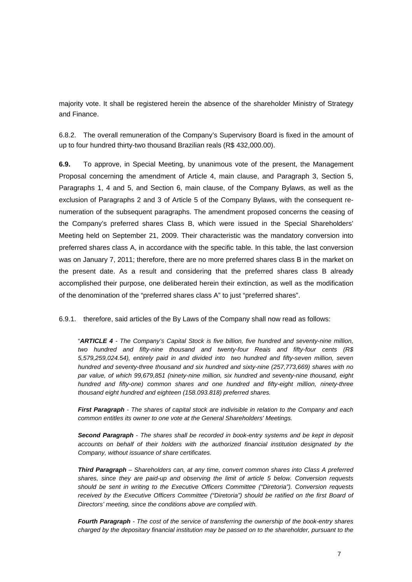majority vote. It shall be registered herein the absence of the shareholder Ministry of Strategy and Finance.

6.8.2. The overall remuneration of the Company's Supervisory Board is fixed in the amount of up to four hundred thirty-two thousand Brazilian reals (R\$ 432,000.00).

**6.9.** To approve, in Special Meeting, by unanimous vote of the present, the Management Proposal concerning the amendment of Article 4, main clause, and Paragraph 3, Section 5, Paragraphs 1, 4 and 5, and Section 6, main clause, of the Company Bylaws, as well as the exclusion of Paragraphs 2 and 3 of Article 5 of the Company Bylaws, with the consequent renumeration of the subsequent paragraphs. The amendment proposed concerns the ceasing of the Company's preferred shares Class B, which were issued in the Special Shareholders' Meeting held on September 21, 2009. Their characteristic was the mandatory conversion into preferred shares class A, in accordance with the specific table. In this table, the last conversion was on January 7, 2011; therefore, there are no more preferred shares class B in the market on the present date. As a result and considering that the preferred shares class B already accomplished their purpose, one deliberated herein their extinction, as well as the modification of the denomination of the "preferred shares class A" to just "preferred shares".

6.9.1. therefore, said articles of the By Laws of the Company shall now read as follows:

"**ARTICLE 4** - The Company's Capital Stock is five billion, five hundred and seventy-nine million, two hundred and fifty-nine thousand and twenty-four Reais and fifty-four cents (R\$ 5,579,259,024.54), entirely paid in and divided into two hundred and fifty-seven million, seven hundred and seventy-three thousand and six hundred and sixty-nine (257,773,669) shares with no par value, of which 99,679,851 (ninety-nine million, six hundred and seventy-nine thousand, eight hundred and fifty-one) common shares and one hundred and fifty-eight million, ninety-three thousand eight hundred and eighteen (158.093.818) preferred shares.

**First Paragraph** - The shares of capital stock are indivisible in relation to the Company and each common entitles its owner to one vote at the General Shareholders' Meetings.

**Second Paragraph** - The shares shall be recorded in book-entry systems and be kept in deposit accounts on behalf of their holders with the authorized financial institution designated by the Company, without issuance of share certificates.

**Third Paragraph** – Shareholders can, at any time, convert common shares into Class A preferred shares, since they are paid-up and observing the limit of article 5 below. Conversion requests should be sent in writing to the Executive Officers Committee ("Diretoria"). Conversion requests received by the Executive Officers Committee ("Diretoria") should be ratified on the first Board of Directors' meeting, since the conditions above are complied with.

**Fourth Paragraph** - The cost of the service of transferring the ownership of the book-entry shares charged by the depositary financial institution may be passed on to the shareholder, pursuant to the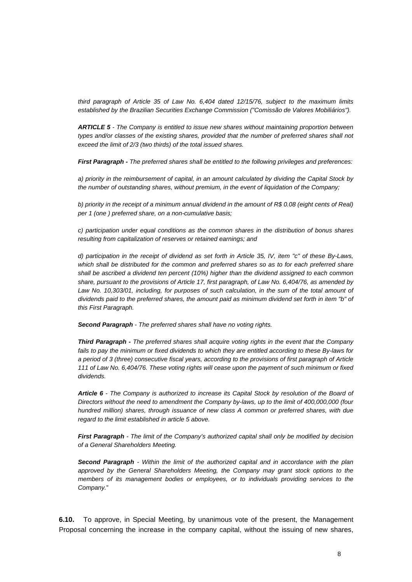third paragraph of Article 35 of Law No. 6,404 dated 12/15/76, subject to the maximum limits established by the Brazilian Securities Exchange Commission ("Comissão de Valores Mobiliários").

**ARTICLE 5** - The Company is entitled to issue new shares without maintaining proportion between types and/or classes of the existing shares, provided that the number of preferred shares shall not exceed the limit of 2/3 (two thirds) of the total issued shares.

**First Paragraph -** The preferred shares shall be entitled to the following privileges and preferences:

a) priority in the reimbursement of capital, in an amount calculated by dividing the Capital Stock by the number of outstanding shares, without premium, in the event of liquidation of the Company;

b) priority in the receipt of a minimum annual dividend in the amount of R\$ 0.08 (eight cents of Real) per 1 (one ) preferred share, on a non-cumulative basis;

c) participation under equal conditions as the common shares in the distribution of bonus shares resulting from capitalization of reserves or retained earnings; and

d) participation in the receipt of dividend as set forth in Article 35, IV, item "c" of these By-Laws, which shall be distributed for the common and preferred shares so as to for each preferred share shall be ascribed a dividend ten percent (10%) higher than the dividend assigned to each common share, pursuant to the provisions of Article 17, first paragraph, of Law No. 6,404/76, as amended by Law No. 10,303/01, including, for purposes of such calculation, in the sum of the total amount of dividends paid to the preferred shares, the amount paid as minimum dividend set forth in item "b" of this First Paragraph.

**Second Paragraph** - The preferred shares shall have no voting rights.

**Third Paragraph -** The preferred shares shall acquire voting rights in the event that the Company fails to pay the minimum or fixed dividends to which they are entitled according to these By-laws for a period of 3 (three) consecutive fiscal years, according to the provisions of first paragraph of Article 111 of Law No. 6,404/76. These voting rights will cease upon the payment of such minimum or fixed dividends.

**Article 6** - The Company is authorized to increase its Capital Stock by resolution of the Board of Directors without the need to amendment the Company by-laws, up to the limit of 400,000,000 (four hundred million) shares, through issuance of new class A common or preferred shares, with due regard to the limit established in article 5 above.

**First Paragraph** - The limit of the Company's authorized capital shall only be modified by decision of a General Shareholders Meeting.

**Second Paragraph** - Within the limit of the authorized capital and in accordance with the plan approved by the General Shareholders Meeting, the Company may grant stock options to the members of its management bodies or employees, or to individuals providing services to the Company."

**6.10.** To approve, in Special Meeting, by unanimous vote of the present, the Management Proposal concerning the increase in the company capital, without the issuing of new shares,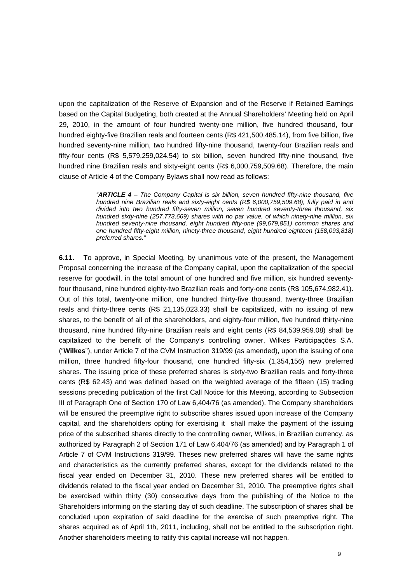upon the capitalization of the Reserve of Expansion and of the Reserve if Retained Earnings based on the Capital Budgeting, both created at the Annual Shareholders' Meeting held on April 29, 2010, in the amount of four hundred twenty-one million, five hundred thousand, four hundred eighty-five Brazilian reals and fourteen cents (R\$ 421,500,485.14), from five billion, five hundred seventy-nine million, two hundred fifty-nine thousand, twenty-four Brazilian reals and fifty-four cents (R\$ 5,579,259,024.54) to six billion, seven hundred fifty-nine thousand, five hundred nine Brazilian reals and sixty-eight cents (R\$ 6,000,759,509.68). Therefore, the main clause of Article 4 of the Company Bylaws shall now read as follows:

> "**ARTICLE 4** – The Company Capital is six billion, seven hundred fifty-nine thousand, five hundred nine Brazilian reals and sixty-eight cents (R\$ 6,000,759,509.68), fully paid in and divided into two hundred fifty-seven million, seven hundred seventy-three thousand, six hundred sixty-nine (257,773,669) shares with no par value, of which ninety-nine million, six hundred seventy-nine thousand, eight hundred fifty-one (99,679,851) common shares and one hundred fifty-eight million, ninety-three thousand, eight hundred eighteen (158,093,818) preferred shares."

**6.11.** To approve, in Special Meeting, by unanimous vote of the present, the Management Proposal concerning the increase of the Company capital, upon the capitalization of the special reserve for goodwill, in the total amount of one hundred and five million, six hundred seventyfour thousand, nine hundred eighty-two Brazilian reals and forty-one cents (R\$ 105,674,982.41). Out of this total, twenty-one million, one hundred thirty-five thousand, twenty-three Brazilian reals and thirty-three cents (R\$ 21,135,023.33) shall be capitalized, with no issuing of new shares, to the benefit of all of the shareholders, and eighty-four million, five hundred thirty-nine thousand, nine hundred fifty-nine Brazilian reals and eight cents (R\$ 84,539,959.08) shall be capitalized to the benefit of the Company's controlling owner, Wilkes Participações S.A. ("**Wilkes**"), under Article 7 of the CVM Instruction 319/99 (as amended), upon the issuing of one million, three hundred fifty-four thousand, one hundred fifty-six (1,354,156) new preferred shares. The issuing price of these preferred shares is sixty-two Brazilian reals and forty-three cents (R\$ 62.43) and was defined based on the weighted average of the fifteen (15) trading sessions preceding publication of the first Call Notice for this Meeting, according to Subsection III of Paragraph One of Section 170 of Law 6,404/76 (as amended). The Company shareholders will be ensured the preemptive right to subscribe shares issued upon increase of the Company capital, and the shareholders opting for exercising it shall make the payment of the issuing price of the subscribed shares directly to the controlling owner, Wilkes, in Brazilian currency, as authorized by Paragraph 2 of Section 171 of Law 6,404/76 (as amended) and by Paragraph 1 of Article 7 of CVM Instructions 319/99. Theses new preferred shares will have the same rights and characteristics as the currently preferred shares, except for the dividends related to the fiscal year ended on December 31, 2010. These new preferred shares will be entitled to dividends related to the fiscal year ended on December 31, 2010. The preemptive rights shall be exercised within thirty (30) consecutive days from the publishing of the Notice to the Shareholders informing on the starting day of such deadline. The subscription of shares shall be concluded upon expiration of said deadline for the exercise of such preemptive right. The shares acquired as of April 1th, 2011, including, shall not be entitled to the subscription right. Another shareholders meeting to ratify this capital increase will not happen.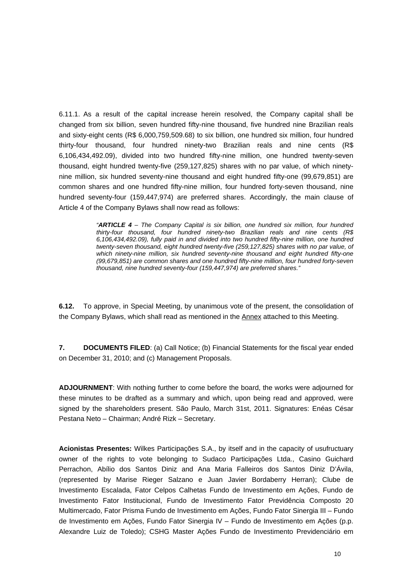6.11.1. As a result of the capital increase herein resolved, the Company capital shall be changed from six billion, seven hundred fifty-nine thousand, five hundred nine Brazilian reals and sixty-eight cents (R\$ 6,000,759,509.68) to six billion, one hundred six million, four hundred thirty-four thousand, four hundred ninety-two Brazilian reals and nine cents (R\$ 6,106,434,492.09), divided into two hundred fifty-nine million, one hundred twenty-seven thousand, eight hundred twenty-five (259,127,825) shares with no par value, of which ninetynine million, six hundred seventy-nine thousand and eight hundred fifty-one (99,679,851) are common shares and one hundred fifty-nine million, four hundred forty-seven thousand, nine hundred seventy-four (159,447,974) are preferred shares. Accordingly, the main clause of Article 4 of the Company Bylaws shall now read as follows:

> "**ARTICLE 4** – The Company Capital is six billion, one hundred six million, four hundred thirty-four thousand, four hundred ninety-two Brazilian reals and nine cents (R\$ 6,106,434,492.09), fully paid in and divided into two hundred fifty-nine million, one hundred twenty-seven thousand, eight hundred twenty-five (259,127,825) shares with no par value, of which ninety-nine million, six hundred seventy-nine thousand and eight hundred fifty-one (99,679,851) are common shares and one hundred fifty-nine million, four hundred forty-seven thousand, nine hundred seventy-four (159,447,974) are preferred shares."

**6.12.** To approve, in Special Meeting, by unanimous vote of the present, the consolidation of the Company Bylaws, which shall read as mentioned in the **Annex** attached to this Meeting.

**7. DOCUMENTS FILED:** (a) Call Notice; (b) Financial Statements for the fiscal year ended on December 31, 2010; and (c) Management Proposals.

**ADJOURNMENT**: With nothing further to come before the board, the works were adjourned for these minutes to be drafted as a summary and which, upon being read and approved, were signed by the shareholders present. São Paulo, March 31st, 2011. Signatures: Enéas César Pestana Neto – Chairman; André Rizk – Secretary.

**Acionistas Presentes:** Wilkes Participações S.A., by itself and in the capacity of usufructuary owner of the rights to vote belonging to Sudaco Participações Ltda., Casino Guichard Perrachon, Abílio dos Santos Diniz and Ana Maria Falleiros dos Santos Diniz D'Ávila, (represented by Marise Rieger Salzano e Juan Javier Bordaberry Herran); Clube de Investimento Escalada, Fator Celpos Calhetas Fundo de Investimento em Ações, Fundo de Investimento Fator Institucional, Fundo de Investimento Fator Previdência Composto 20 Multimercado, Fator Prisma Fundo de Investimento em Ações, Fundo Fator Sinergia III – Fundo de Investimento em Ações, Fundo Fator Sinergia IV – Fundo de Investimento em Ações (p.p. Alexandre Luiz de Toledo); CSHG Master Ações Fundo de Investimento Previdenciário em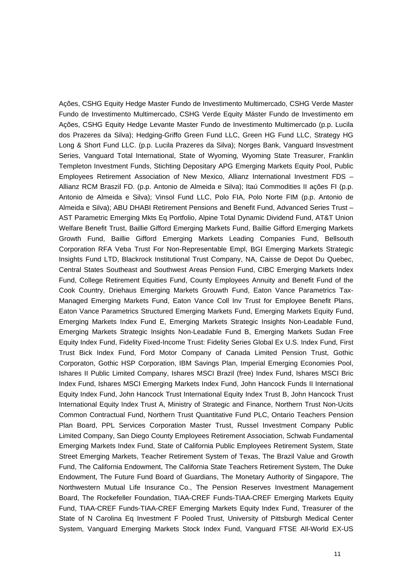Ações, CSHG Equity Hedge Master Fundo de Investimento Multimercado, CSHG Verde Master Fundo de Investimento Multimercado, CSHG Verde Equity Máster Fundo de Investimento em Ações, CSHG Equity Hedge Levante Master Fundo de Investimento Multimercado (p.p. Lucila dos Prazeres da Silva); Hedging-Griffo Green Fund LLC, Green HG Fund LLC, Strategy HG Long & Short Fund LLC. (p.p. Lucila Prazeres da Silva); Norges Bank, Vanguard Insvestment Series, Vanguard Total International, State of Wyoming, Wyoming State Treasurer, Franklin Templeton Investment Funds, Stichting Depositary APG Emerging Markets Equity Pool, Public Employees Retirement Association of New Mexico, Allianz International Investment FDS – Allianz RCM Braszil FD. (p.p. Antonio de Almeida e Silva); Itaú Commodities II ações FI (p.p. Antonio de Almeida e Silva); Vinsol Fund LLC, Polo FIA, Polo Norte FIM (p.p. Antonio de Almeida e Silva); ABU DHABI Retirement Pensions and Benefit Fund, Advanced Series Trust – AST Parametric Emerging Mkts Eq Portfolio, Alpine Total Dynamic Dividend Fund, AT&T Union Welfare Benefit Trust, Baillie Gifford Emerging Markets Fund, Baillie Gifford Emerging Markets Growth Fund, Baillie Gifford Emerging Markets Leading Companies Fund, Bellsouth Corporation RFA Veba Trust For Non-Representable Empl, BGI Emerging Markets Strategic Insights Fund LTD, Blackrock Institutional Trust Company, NA, Caisse de Depot Du Quebec, Central States Southeast and Southwest Areas Pension Fund, CIBC Emerging Markets Index Fund, College Retirement Equities Fund, County Employees Annuity and Benefit Fund of the Cook Country, Driehaus Emerging Markets Grouwth Fund, Eaton Vance Parametrics Tax-Managed Emerging Markets Fund, Eaton Vance Coll Inv Trust for Employee Benefit Plans, Eaton Vance Parametrics Structured Emerging Markets Fund, Emerging Markets Equity Fund, Emerging Markets Index Fund E, Emerging Markets Strategic Insights Non-Leadable Fund, Emerging Markets Strategic Insights Non-Leadable Fund B, Emerging Markets Sudan Free Equity Index Fund, Fidelity Fixed-Income Trust: Fidelity Series Global Ex U.S. Index Fund, First Trust Bick Index Fund, Ford Motor Company of Canada Limited Pension Trust, Gothic Corporaton, Gothic HSP Corporation, IBM Savings Plan, Imperial Emerging Economies Pool, Ishares II Public Limited Company, Ishares MSCI Brazil (free) Index Fund, Ishares MSCI Bric Index Fund, Ishares MSCI Emerging Markets Index Fund, John Hancock Funds II International Equity Index Fund, John Hancock Trust International Equity Index Trust B, John Hancock Trust International Equity Index Trust A, Ministry of Strategic and Finance, Northern Trust Non-Ucits Common Contractual Fund, Northern Trust Quantitative Fund PLC, Ontario Teachers Pension Plan Board, PPL Services Corporation Master Trust, Russel Investment Company Public Limited Company, San Diego County Employees Retirement Association, Schwab Fundamental Emerging Markets Index Fund, State of California Public Employees Retirement System, State Street Emerging Markets, Teacher Retirement System of Texas, The Brazil Value and Growth Fund, The California Endowment, The California State Teachers Retirement System, The Duke Endowment, The Future Fund Board of Guardians, The Monetary Authority of Singapore, The Northwestern Mutual Life Insurance Co., The Pension Reserves Investment Management Board, The Rockefeller Foundation, TIAA-CREF Funds-TIAA-CREF Emerging Markets Equity Fund, TIAA-CREF Funds-TIAA-CREF Emerging Markets Equity Index Fund, Treasurer of the State of N Carolina Eq Investment F Pooled Trust, University of Pittsburgh Medical Center System, Vanguard Emerging Markets Stock Index Fund, Vanguard FTSE All-World EX-US